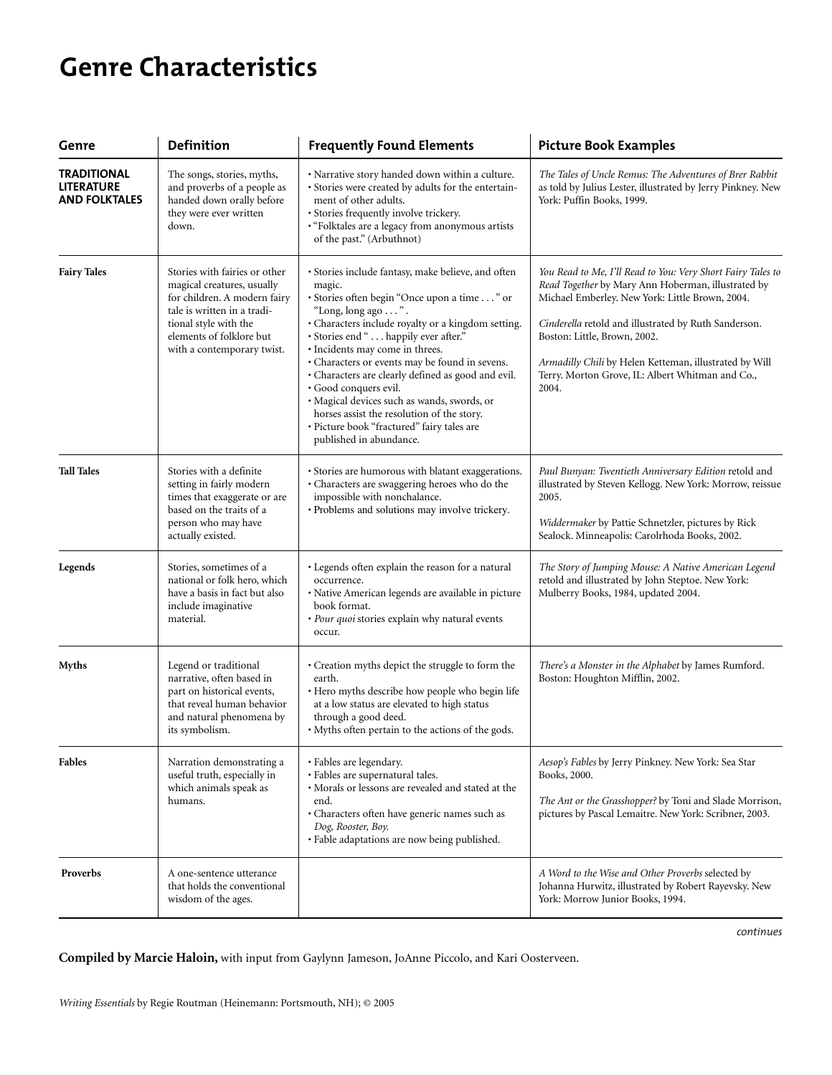# **Genre Characteristics**

| Genre                                                    | Definition                                                                                                                                                                                                    | <b>Frequently Found Elements</b>                                                                                                                                                                                                                                                                                                                                                                                                                                                                                                                                           | <b>Picture Book Examples</b>                                                                                                                                                                                                                                                                                                                                                        |
|----------------------------------------------------------|---------------------------------------------------------------------------------------------------------------------------------------------------------------------------------------------------------------|----------------------------------------------------------------------------------------------------------------------------------------------------------------------------------------------------------------------------------------------------------------------------------------------------------------------------------------------------------------------------------------------------------------------------------------------------------------------------------------------------------------------------------------------------------------------------|-------------------------------------------------------------------------------------------------------------------------------------------------------------------------------------------------------------------------------------------------------------------------------------------------------------------------------------------------------------------------------------|
| <b>TRADITIONAL</b><br>LITERATURE<br><b>AND FOLKTALES</b> | The songs, stories, myths,<br>and proverbs of a people as<br>handed down orally before<br>they were ever written<br>down.                                                                                     | · Narrative story handed down within a culture.<br>· Stories were created by adults for the entertain-<br>ment of other adults.<br>· Stories frequently involve trickery.<br>· "Folktales are a legacy from anonymous artists<br>of the past." (Arbuthnot)                                                                                                                                                                                                                                                                                                                 | The Tales of Uncle Remus: The Adventures of Brer Rabbit<br>as told by Julius Lester, illustrated by Jerry Pinkney. New<br>York: Puffin Books, 1999.                                                                                                                                                                                                                                 |
| <b>Fairy Tales</b>                                       | Stories with fairies or other<br>magical creatures, usually<br>for children. A modern fairy<br>tale is written in a tradi-<br>tional style with the<br>elements of folklore but<br>with a contemporary twist. | · Stories include fantasy, make believe, and often<br>magic.<br>· Stories often begin "Once upon a time " or<br>"Long, long ago ".<br>• Characters include royalty or a kingdom setting.<br>· Stories end " happily ever after."<br>· Incidents may come in threes.<br>• Characters or events may be found in sevens.<br>• Characters are clearly defined as good and evil.<br>· Good conquers evil.<br>· Magical devices such as wands, swords, or<br>horses assist the resolution of the story.<br>· Picture book "fractured" fairy tales are<br>published in abundance. | You Read to Me, I'll Read to You: Very Short Fairy Tales to<br>Read Together by Mary Ann Hoberman, illustrated by<br>Michael Emberley. New York: Little Brown, 2004.<br>Cinderella retold and illustrated by Ruth Sanderson.<br>Boston: Little, Brown, 2002.<br>Armadilly Chili by Helen Ketteman, illustrated by Will<br>Terry. Morton Grove, IL: Albert Whitman and Co.,<br>2004. |
| <b>Tall Tales</b>                                        | Stories with a definite<br>setting in fairly modern<br>times that exaggerate or are<br>based on the traits of a<br>person who may have<br>actually existed.                                                   | · Stories are humorous with blatant exaggerations.<br>· Characters are swaggering heroes who do the<br>impossible with nonchalance.<br>· Problems and solutions may involve trickery.                                                                                                                                                                                                                                                                                                                                                                                      | Paul Bunyan: Twentieth Anniversary Edition retold and<br>illustrated by Steven Kellogg. New York: Morrow, reissue<br>2005.<br>Widdermaker by Pattie Schnetzler, pictures by Rick<br>Sealock. Minneapolis: Carolrhoda Books, 2002.                                                                                                                                                   |
| Legends                                                  | Stories, sometimes of a<br>national or folk hero, which<br>have a basis in fact but also<br>include imaginative<br>material.                                                                                  | · Legends often explain the reason for a natural<br>occurrence.<br>· Native American legends are available in picture<br>book format.<br>· Pour quoi stories explain why natural events<br>occur.                                                                                                                                                                                                                                                                                                                                                                          | The Story of Jumping Mouse: A Native American Legend<br>retold and illustrated by John Steptoe. New York:<br>Mulberry Books, 1984, updated 2004.                                                                                                                                                                                                                                    |
| <b>Myths</b>                                             | Legend or traditional<br>narrative, often based in<br>part on historical events,<br>that reveal human behavior<br>and natural phenomena by<br>its symbolism.                                                  | • Creation myths depict the struggle to form the<br>earth.<br>· Hero myths describe how people who begin life<br>at a low status are elevated to high status<br>through a good deed.<br>· Myths often pertain to the actions of the gods.                                                                                                                                                                                                                                                                                                                                  | There's a Monster in the Alphabet by James Rumford.<br>Boston: Houghton Mifflin, 2002.                                                                                                                                                                                                                                                                                              |
| <b>Fables</b>                                            | Narration demonstrating a<br>useful truth, especially in<br>which animals speak as<br>humans.                                                                                                                 | • Fables are legendary.<br>· Fables are supernatural tales.<br>· Morals or lessons are revealed and stated at the<br>end.<br>· Characters often have generic names such as<br>Dog, Rooster, Boy.<br>· Fable adaptations are now being published.                                                                                                                                                                                                                                                                                                                           | Aesop's Fables by Jerry Pinkney. New York: Sea Star<br>Books, 2000.<br>The Ant or the Grasshopper? by Toni and Slade Morrison,<br>pictures by Pascal Lemaitre. New York: Scribner, 2003.                                                                                                                                                                                            |
| Proverbs                                                 | A one-sentence utterance<br>that holds the conventional<br>wisdom of the ages.                                                                                                                                |                                                                                                                                                                                                                                                                                                                                                                                                                                                                                                                                                                            | A Word to the Wise and Other Proverbs selected by<br>Johanna Hurwitz, illustrated by Robert Rayevsky. New<br>York: Morrow Junior Books, 1994.                                                                                                                                                                                                                                       |

*continues*

**Compiled by Marcie Haloin,** with input from Gaylynn Jameson, JoAnne Piccolo, and Kari Oosterveen.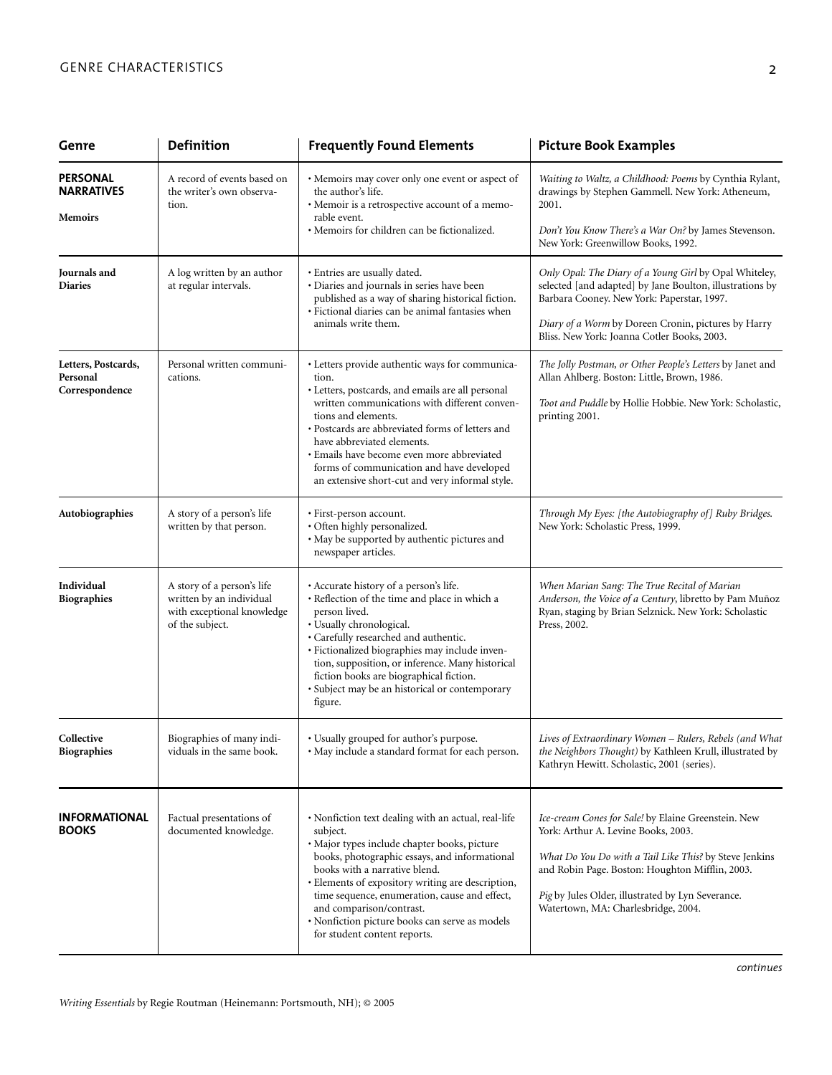| Genre                                             | <b>Definition</b>                                                                                       | <b>Frequently Found Elements</b>                                                                                                                                                                                                                                                                                                                                                                                      | <b>Picture Book Examples</b>                                                                                                                                                                                                                                                                        |
|---------------------------------------------------|---------------------------------------------------------------------------------------------------------|-----------------------------------------------------------------------------------------------------------------------------------------------------------------------------------------------------------------------------------------------------------------------------------------------------------------------------------------------------------------------------------------------------------------------|-----------------------------------------------------------------------------------------------------------------------------------------------------------------------------------------------------------------------------------------------------------------------------------------------------|
| PERSONAL<br><b>NARRATIVES</b><br><b>Memoirs</b>   | A record of events based on<br>the writer's own observa-<br>tion.                                       | • Memoirs may cover only one event or aspect of<br>the author's life.<br>· Memoir is a retrospective account of a memo-<br>rable event.                                                                                                                                                                                                                                                                               | Waiting to Waltz, a Childhood: Poems by Cynthia Rylant,<br>drawings by Stephen Gammell. New York: Atheneum,<br>2001.                                                                                                                                                                                |
|                                                   |                                                                                                         | • Memoirs for children can be fictionalized.                                                                                                                                                                                                                                                                                                                                                                          | Don't You Know There's a War On? by James Stevenson.<br>New York: Greenwillow Books, 1992.                                                                                                                                                                                                          |
| Journals and<br><b>Diaries</b>                    | A log written by an author<br>at regular intervals.                                                     | · Entries are usually dated.<br>· Diaries and journals in series have been<br>published as a way of sharing historical fiction.<br>· Fictional diaries can be animal fantasies when<br>animals write them.                                                                                                                                                                                                            | Only Opal: The Diary of a Young Girl by Opal Whiteley,<br>selected [and adapted] by Jane Boulton, illustrations by<br>Barbara Cooney. New York: Paperstar, 1997.                                                                                                                                    |
|                                                   |                                                                                                         |                                                                                                                                                                                                                                                                                                                                                                                                                       | Diary of a Worm by Doreen Cronin, pictures by Harry<br>Bliss. New York: Joanna Cotler Books, 2003.                                                                                                                                                                                                  |
| Letters, Postcards,<br>Personal<br>Correspondence | Personal written communi-<br>cations.                                                                   | · Letters provide authentic ways for communica-<br>tion.<br>· Letters, postcards, and emails are all personal<br>written communications with different conven-<br>tions and elements.<br>· Postcards are abbreviated forms of letters and<br>have abbreviated elements.<br>· Emails have become even more abbreviated<br>forms of communication and have developed<br>an extensive short-cut and very informal style. | The Jolly Postman, or Other People's Letters by Janet and<br>Allan Ahlberg. Boston: Little, Brown, 1986.<br>Toot and Puddle by Hollie Hobbie. New York: Scholastic,<br>printing 2001.                                                                                                               |
| Autobiographies                                   | A story of a person's life<br>written by that person.                                                   | · First-person account.<br>· Often highly personalized.<br>· May be supported by authentic pictures and<br>newspaper articles.                                                                                                                                                                                                                                                                                        | Through My Eyes: [the Autobiography of] Ruby Bridges.<br>New York: Scholastic Press, 1999.                                                                                                                                                                                                          |
| Individual<br><b>Biographies</b>                  | A story of a person's life<br>written by an individual<br>with exceptional knowledge<br>of the subject. | · Accurate history of a person's life.<br>· Reflection of the time and place in which a<br>person lived.<br>· Usually chronological.<br>· Carefully researched and authentic.<br>· Fictionalized biographies may include inven-<br>tion, supposition, or inference. Many historical<br>fiction books are biographical fiction.<br>· Subject may be an historical or contemporary<br>figure.                           | When Marian Sang: The True Recital of Marian<br>Anderson, the Voice of a Century, libretto by Pam Muñoz<br>Ryan, staging by Brian Selznick. New York: Scholastic<br>Press, 2002.                                                                                                                    |
| Collective<br><b>Biographies</b>                  | Biographies of many indi-<br>viduals in the same book.                                                  | • Usually grouped for author's purpose.<br>· May include a standard format for each person.                                                                                                                                                                                                                                                                                                                           | Lives of Extraordinary Women - Rulers, Rebels (and What<br>the Neighbors Thought) by Kathleen Krull, illustrated by<br>Kathryn Hewitt. Scholastic, 2001 (series).                                                                                                                                   |
| <b>INFORMATIONAL</b><br><b>BOOKS</b>              | Factual presentations of<br>documented knowledge.                                                       | · Nonfiction text dealing with an actual, real-life<br>subject.<br>· Major types include chapter books, picture<br>books, photographic essays, and informational<br>books with a narrative blend.<br>· Elements of expository writing are description,<br>time sequence, enumeration, cause and effect,<br>and comparison/contrast.<br>· Nonfiction picture books can serve as models<br>for student content reports. | Ice-cream Cones for Sale! by Elaine Greenstein. New<br>York: Arthur A. Levine Books, 2003.<br>What Do You Do with a Tail Like This? by Steve Jenkins<br>and Robin Page. Boston: Houghton Mifflin, 2003.<br>Pig by Jules Older, illustrated by Lyn Severance.<br>Watertown, MA: Charlesbridge, 2004. |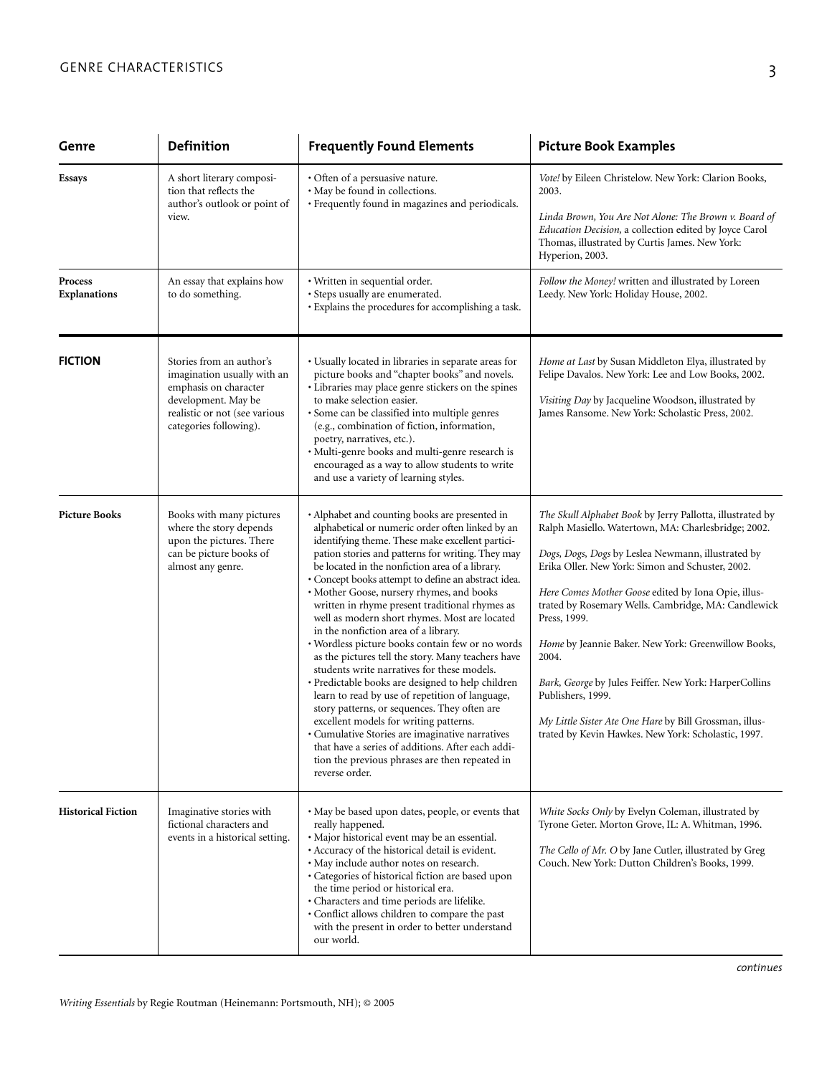| Genre                                 | Definition                                                                                                                                                         | <b>Frequently Found Elements</b>                                                                                                                                                                                                                                                                                                                                                                                                                                                                                                                                                                                                                                                                                                                                                                                                                                                                                                                                                                                                                     | <b>Picture Book Examples</b>                                                                                                                                                                                                                                                                                                                                                                                                                                                                                                                                                                                             |
|---------------------------------------|--------------------------------------------------------------------------------------------------------------------------------------------------------------------|------------------------------------------------------------------------------------------------------------------------------------------------------------------------------------------------------------------------------------------------------------------------------------------------------------------------------------------------------------------------------------------------------------------------------------------------------------------------------------------------------------------------------------------------------------------------------------------------------------------------------------------------------------------------------------------------------------------------------------------------------------------------------------------------------------------------------------------------------------------------------------------------------------------------------------------------------------------------------------------------------------------------------------------------------|--------------------------------------------------------------------------------------------------------------------------------------------------------------------------------------------------------------------------------------------------------------------------------------------------------------------------------------------------------------------------------------------------------------------------------------------------------------------------------------------------------------------------------------------------------------------------------------------------------------------------|
| <b>Essays</b>                         | A short literary composi-<br>tion that reflects the<br>author's outlook or point of<br>view.                                                                       | • Often of a persuasive nature.<br>· May be found in collections.<br>· Frequently found in magazines and periodicals.                                                                                                                                                                                                                                                                                                                                                                                                                                                                                                                                                                                                                                                                                                                                                                                                                                                                                                                                | Vote! by Eileen Christelow. New York: Clarion Books,<br>2003.<br>Linda Brown, You Are Not Alone: The Brown v. Board of<br>Education Decision, a collection edited by Joyce Carol<br>Thomas, illustrated by Curtis James. New York:<br>Hyperion, 2003.                                                                                                                                                                                                                                                                                                                                                                    |
| <b>Process</b><br><b>Explanations</b> | An essay that explains how<br>to do something.                                                                                                                     | · Written in sequential order.<br>· Steps usually are enumerated.<br>· Explains the procedures for accomplishing a task.                                                                                                                                                                                                                                                                                                                                                                                                                                                                                                                                                                                                                                                                                                                                                                                                                                                                                                                             | Follow the Money! written and illustrated by Loreen<br>Leedy. New York: Holiday House, 2002.                                                                                                                                                                                                                                                                                                                                                                                                                                                                                                                             |
| <b>FICTION</b>                        | Stories from an author's<br>imagination usually with an<br>emphasis on character<br>development. May be<br>realistic or not (see various<br>categories following). | · Usually located in libraries in separate areas for<br>picture books and "chapter books" and novels.<br>· Libraries may place genre stickers on the spines<br>to make selection easier.<br>· Some can be classified into multiple genres<br>(e.g., combination of fiction, information,<br>poetry, narratives, etc.).<br>· Multi-genre books and multi-genre research is<br>encouraged as a way to allow students to write<br>and use a variety of learning styles.                                                                                                                                                                                                                                                                                                                                                                                                                                                                                                                                                                                 | Home at Last by Susan Middleton Elya, illustrated by<br>Felipe Davalos. New York: Lee and Low Books, 2002.<br>Visiting Day by Jacqueline Woodson, illustrated by<br>James Ransome. New York: Scholastic Press, 2002.                                                                                                                                                                                                                                                                                                                                                                                                     |
| <b>Picture Books</b>                  | Books with many pictures<br>where the story depends<br>upon the pictures. There<br>can be picture books of<br>almost any genre.                                    | • Alphabet and counting books are presented in<br>alphabetical or numeric order often linked by an<br>identifying theme. These make excellent partici-<br>pation stories and patterns for writing. They may<br>be located in the nonfiction area of a library.<br>· Concept books attempt to define an abstract idea.<br>· Mother Goose, nursery rhymes, and books<br>written in rhyme present traditional rhymes as<br>well as modern short rhymes. Most are located<br>in the nonfiction area of a library.<br>· Wordless picture books contain few or no words<br>as the pictures tell the story. Many teachers have<br>students write narratives for these models.<br>· Predictable books are designed to help children<br>learn to read by use of repetition of language,<br>story patterns, or sequences. They often are<br>excellent models for writing patterns.<br>· Cumulative Stories are imaginative narratives<br>that have a series of additions. After each addi-<br>tion the previous phrases are then repeated in<br>reverse order. | The Skull Alphabet Book by Jerry Pallotta, illustrated by<br>Ralph Masiello. Watertown, MA: Charlesbridge; 2002.<br>Dogs, Dogs, Dogs by Leslea Newmann, illustrated by<br>Erika Oller. New York: Simon and Schuster, 2002.<br>Here Comes Mother Goose edited by Iona Opie, illus-<br>trated by Rosemary Wells. Cambridge, MA: Candlewick<br>Press, 1999.<br>Home by Jeannie Baker. New York: Greenwillow Books,<br>2004.<br>Bark, George by Jules Feiffer. New York: HarperCollins<br>Publishers, 1999.<br>My Little Sister Ate One Hare by Bill Grossman, illus-<br>trated by Kevin Hawkes. New York: Scholastic, 1997. |
| <b>Historical Fiction</b>             | Imaginative stories with<br>fictional characters and<br>events in a historical setting.                                                                            | • May be based upon dates, people, or events that<br>really happened.<br>· Major historical event may be an essential.<br>· Accuracy of the historical detail is evident.<br>· May include author notes on research.<br>· Categories of historical fiction are based upon<br>the time period or historical era.<br>· Characters and time periods are lifelike.<br>· Conflict allows children to compare the past<br>with the present in order to better understand<br>our world.                                                                                                                                                                                                                                                                                                                                                                                                                                                                                                                                                                     | White Socks Only by Evelyn Coleman, illustrated by<br>Tyrone Geter. Morton Grove, IL: A. Whitman, 1996.<br>The Cello of Mr. O by Jane Cutler, illustrated by Greg<br>Couch. New York: Dutton Children's Books, 1999.                                                                                                                                                                                                                                                                                                                                                                                                     |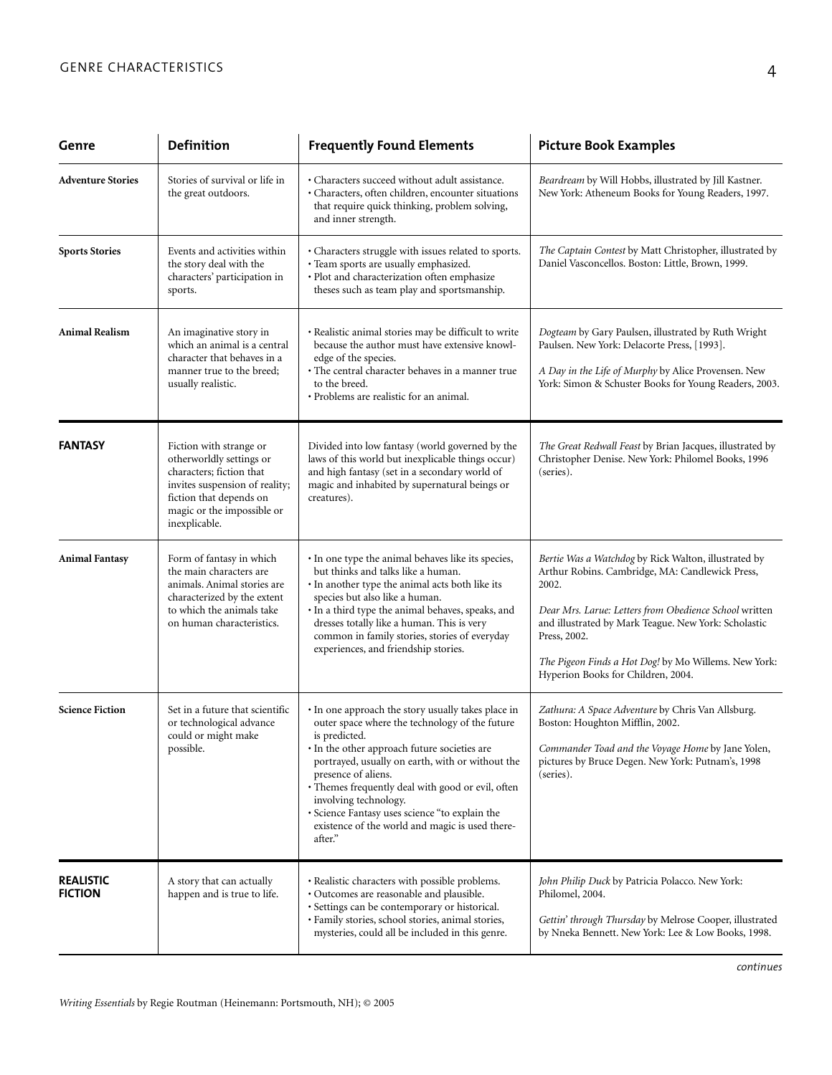| Genre                              | <b>Definition</b>                                                                                                                                                                           | <b>Frequently Found Elements</b>                                                                                                                                                                                                                                                                                                                                                                                                               | <b>Picture Book Examples</b>                                                                                                                                                                                                                                                                                                                     |
|------------------------------------|---------------------------------------------------------------------------------------------------------------------------------------------------------------------------------------------|------------------------------------------------------------------------------------------------------------------------------------------------------------------------------------------------------------------------------------------------------------------------------------------------------------------------------------------------------------------------------------------------------------------------------------------------|--------------------------------------------------------------------------------------------------------------------------------------------------------------------------------------------------------------------------------------------------------------------------------------------------------------------------------------------------|
| <b>Adventure Stories</b>           | Stories of survival or life in<br>the great outdoors.                                                                                                                                       | • Characters succeed without adult assistance.<br>· Characters, often children, encounter situations<br>that require quick thinking, problem solving,<br>and inner strength.                                                                                                                                                                                                                                                                   | Beardream by Will Hobbs, illustrated by Jill Kastner.<br>New York: Atheneum Books for Young Readers, 1997.                                                                                                                                                                                                                                       |
| <b>Sports Stories</b>              | Events and activities within<br>the story deal with the<br>characters' participation in<br>sports.                                                                                          | • Characters struggle with issues related to sports.<br>· Team sports are usually emphasized.<br>· Plot and characterization often emphasize<br>theses such as team play and sportsmanship.                                                                                                                                                                                                                                                    | The Captain Contest by Matt Christopher, illustrated by<br>Daniel Vasconcellos. Boston: Little, Brown, 1999.                                                                                                                                                                                                                                     |
| <b>Animal Realism</b>              | An imaginative story in<br>which an animal is a central<br>character that behaves in a<br>manner true to the breed;<br>usually realistic.                                                   | • Realistic animal stories may be difficult to write<br>because the author must have extensive knowl-<br>edge of the species.<br>• The central character behaves in a manner true<br>to the breed.<br>• Problems are realistic for an animal.                                                                                                                                                                                                  | Dogteam by Gary Paulsen, illustrated by Ruth Wright<br>Paulsen. New York: Delacorte Press, [1993].<br>A Day in the Life of Murphy by Alice Provensen. New<br>York: Simon & Schuster Books for Young Readers, 2003.                                                                                                                               |
| <b>FANTASY</b>                     | Fiction with strange or<br>otherworldly settings or<br>characters; fiction that<br>invites suspension of reality;<br>fiction that depends on<br>magic or the impossible or<br>inexplicable. | Divided into low fantasy (world governed by the<br>laws of this world but inexplicable things occur)<br>and high fantasy (set in a secondary world of<br>magic and inhabited by supernatural beings or<br>creatures).                                                                                                                                                                                                                          | The Great Redwall Feast by Brian Jacques, illustrated by<br>Christopher Denise. New York: Philomel Books, 1996<br>(series).                                                                                                                                                                                                                      |
| <b>Animal Fantasy</b>              | Form of fantasy in which<br>the main characters are<br>animals. Animal stories are<br>characterized by the extent<br>to which the animals take<br>on human characteristics.                 | • In one type the animal behaves like its species,<br>but thinks and talks like a human.<br>· In another type the animal acts both like its<br>species but also like a human.<br>· In a third type the animal behaves, speaks, and<br>dresses totally like a human. This is very<br>common in family stories, stories of everyday<br>experiences, and friendship stories.                                                                      | Bertie Was a Watchdog by Rick Walton, illustrated by<br>Arthur Robins. Cambridge, MA: Candlewick Press,<br>2002.<br>Dear Mrs. Larue: Letters from Obedience School written<br>and illustrated by Mark Teague. New York: Scholastic<br>Press, 2002.<br>The Pigeon Finds a Hot Dog! by Mo Willems. New York:<br>Hyperion Books for Children, 2004. |
| <b>Science Fiction</b>             | Set in a future that scientific<br>or technological advance<br>could or might make<br>possible.                                                                                             | • In one approach the story usually takes place in<br>outer space where the technology of the future<br>is predicted.<br>• In the other approach future societies are<br>portrayed, usually on earth, with or without the<br>presence of aliens.<br>· Themes frequently deal with good or evil, often<br>involving technology.<br>· Science Fantasy uses science "to explain the<br>existence of the world and magic is used there-<br>after." | Zathura: A Space Adventure by Chris Van Allsburg.<br>Boston: Houghton Mifflin, 2002.<br>Commander Toad and the Voyage Home by Jane Yolen,<br>pictures by Bruce Degen. New York: Putnam's, 1998<br>(series).                                                                                                                                      |
| <b>REALISTIC</b><br><b>FICTION</b> | A story that can actually<br>happen and is true to life.                                                                                                                                    | · Realistic characters with possible problems.<br>· Outcomes are reasonable and plausible.<br>· Settings can be contemporary or historical.<br>· Family stories, school stories, animal stories,<br>mysteries, could all be included in this genre.                                                                                                                                                                                            | John Philip Duck by Patricia Polacco. New York:<br>Philomel, 2004.<br>Gettin' through Thursday by Melrose Cooper, illustrated<br>by Nneka Bennett. New York: Lee & Low Books, 1998.                                                                                                                                                              |